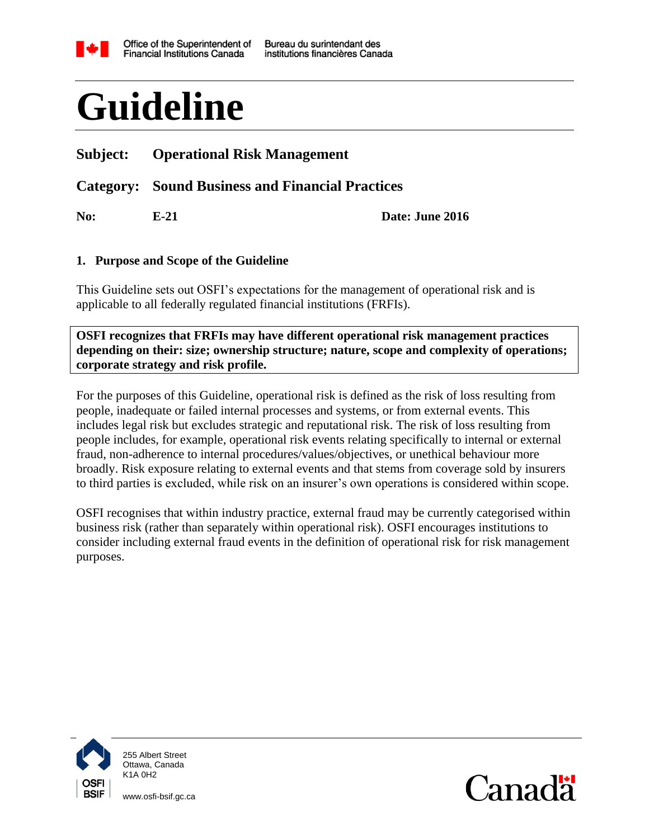

# **Guideline**

# **Subject: Operational Risk Management**

# **Category: Sound Business and Financial Practices**

**No: E-21 Date: June 2016**

#### <span id="page-0-0"></span>**1. Purpose and Scope of the Guideline**

This Guideline sets out OSFI's expectations for the management of operational risk and is applicable to all federally regulated financial institutions (FRFIs).

**OSFI recognizes that FRFIs may have different operational risk management practices depending on their: size; ownership structure; nature, scope and complexity of operations; corporate strategy and risk profile.**

For the purposes of this Guideline, operational risk is defined as the risk of loss resulting from people, inadequate or failed internal processes and systems, or from external events. This includes legal risk but excludes strategic and reputational risk. The risk of loss resulting from people includes, for example, operational risk events relating specifically to internal or external fraud, non-adherence to internal procedures/values/objectives, or unethical behaviour more broadly. Risk exposure relating to external events and that stems from coverage sold by insurers to third parties is excluded, while risk on an insurer's own operations is considered within scope.

OSFI recognises that within industry practice, external fraud may be currently categorised within business risk (rather than separately within operational risk). OSFI encourages institutions to consider including external fraud events in the definition of operational risk for risk management purposes.



255 Albert Street Ottawa, Canada K1A 0H2

www.osfi-bsif.gc.ca

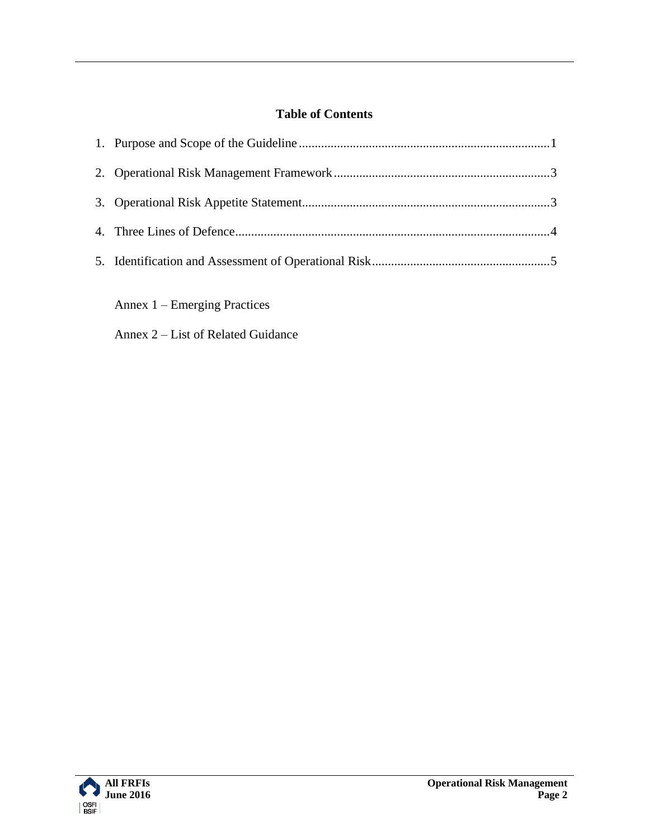# **Table of Contents**

Annex 1 – Emerging Practices

Annex 2 – List of Related Guidance

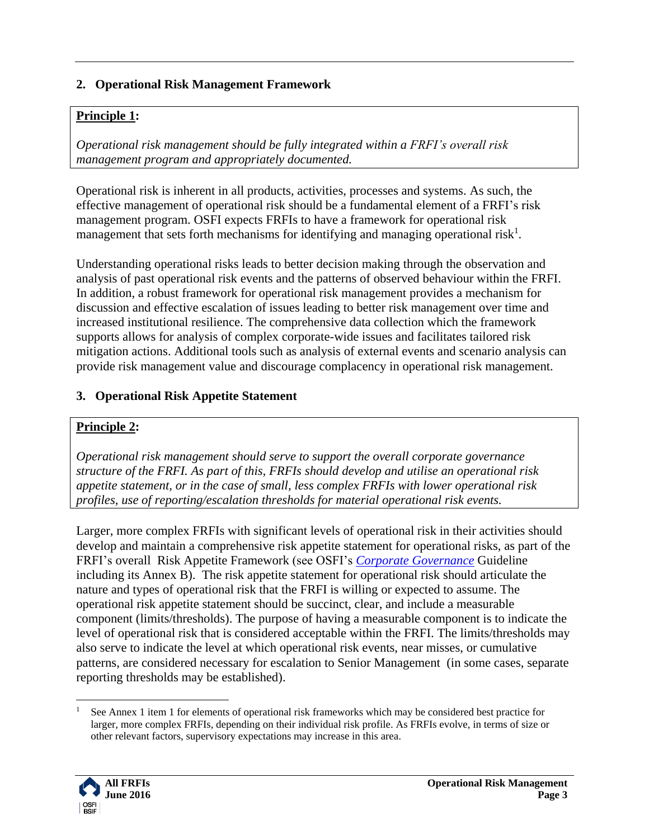## <span id="page-2-0"></span>**2. Operational Risk Management Framework**

#### **Principle 1:**

*Operational risk management should be fully integrated within a FRFI's overall risk management program and appropriately documented.*

Operational risk is inherent in all products, activities, processes and systems. As such, the effective management of operational risk should be a fundamental element of a FRFI's risk management program. OSFI expects FRFIs to have a framework for operational risk management that sets forth mechanisms for identifying and managing operational risk<sup>1</sup>.

Understanding operational risks leads to better decision making through the observation and analysis of past operational risk events and the patterns of observed behaviour within the FRFI. In addition, a robust framework for operational risk management provides a mechanism for discussion and effective escalation of issues leading to better risk management over time and increased institutional resilience. The comprehensive data collection which the framework supports allows for analysis of complex corporate-wide issues and facilitates tailored risk mitigation actions. Additional tools such as analysis of external events and scenario analysis can provide risk management value and discourage complacency in operational risk management.

#### <span id="page-2-1"></span>**3. Operational Risk Appetite Statement**

#### **Principle 2:**

*Operational risk management should serve to support the overall corporate governance structure of the FRFI. As part of this, FRFIs should develop and utilise an operational risk appetite statement, or in the case of small, less complex FRFIs with lower operational risk profiles, use of reporting/escalation thresholds for material operational risk events.* 

Larger, more complex FRFIs with significant levels of operational risk in their activities should develop and maintain a comprehensive risk appetite statement for operational risks, as part of the FRFI's overall Risk Appetite Framework (see OSFI's *[Corporate Governance](http://www.osfi-bsif.gc.ca/Eng/fi-if/rg-ro/gdn-ort/gl-ld/Pages/CG_Guideline.aspx)* Guideline including its Annex B). The risk appetite statement for operational risk should articulate the nature and types of operational risk that the FRFI is willing or expected to assume. The operational risk appetite statement should be succinct, clear, and include a measurable component (limits/thresholds). The purpose of having a measurable component is to indicate the level of operational risk that is considered acceptable within the FRFI. The limits/thresholds may also serve to indicate the level at which operational risk events, near misses, or cumulative patterns, are considered necessary for escalation to Senior Management (in some cases, separate reporting thresholds may be established).

See Annex 1 item 1 for elements of operational risk frameworks which may be considered best practice for larger, more complex FRFIs, depending on their individual risk profile. As FRFIs evolve, in terms of size or other relevant factors, supervisory expectations may increase in this area.



 $\overline{a}$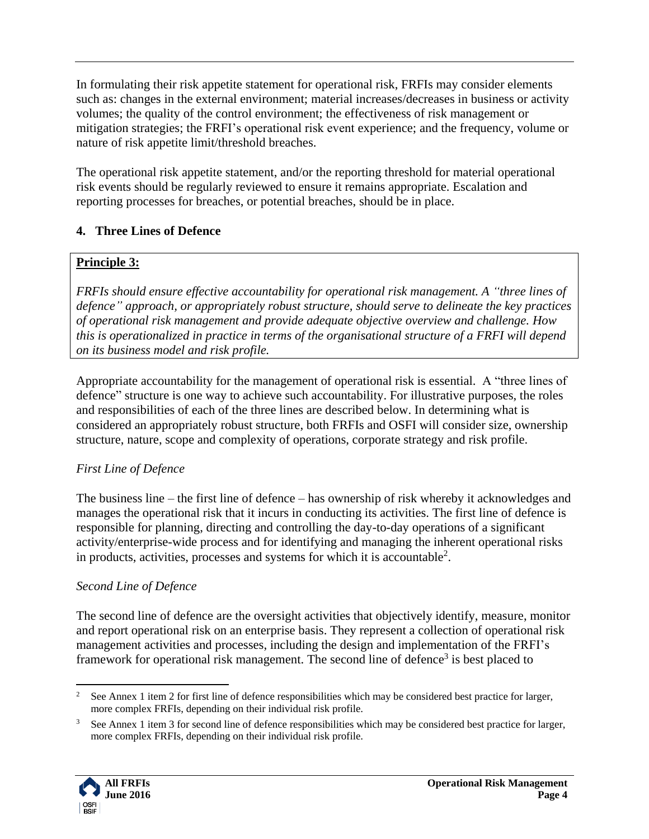In formulating their risk appetite statement for operational risk, FRFIs may consider elements such as: changes in the external environment; material increases/decreases in business or activity volumes; the quality of the control environment; the effectiveness of risk management or mitigation strategies; the FRFI's operational risk event experience; and the frequency, volume or nature of risk appetite limit/threshold breaches.

The operational risk appetite statement, and/or the reporting threshold for material operational risk events should be regularly reviewed to ensure it remains appropriate. Escalation and reporting processes for breaches, or potential breaches, should be in place.

# <span id="page-3-0"></span>**4. Three Lines of Defence**

## **Principle 3:**

*FRFIs should ensure effective accountability for operational risk management. A "three lines of defence" approach, or appropriately robust structure, should serve to delineate the key practices of operational risk management and provide adequate objective overview and challenge. How this is operationalized in practice in terms of the organisational structure of a FRFI will depend on its business model and risk profile.*

Appropriate accountability for the management of operational risk is essential. A "three lines of defence" structure is one way to achieve such accountability. For illustrative purposes, the roles and responsibilities of each of the three lines are described below. In determining what is considered an appropriately robust structure, both FRFIs and OSFI will consider size, ownership structure, nature, scope and complexity of operations, corporate strategy and risk profile.

# *First Line of Defence*

The business line – the first line of defence – has ownership of risk whereby it acknowledges and manages the operational risk that it incurs in conducting its activities. The first line of defence is responsible for planning, directing and controlling the day-to-day operations of a significant activity/enterprise-wide process and for identifying and managing the inherent operational risks in products, activities, processes and systems for which it is accountable<sup>2</sup>.

## *Second Line of Defence*

The second line of defence are the oversight activities that objectively identify, measure, monitor and report operational risk on an enterprise basis. They represent a collection of operational risk management activities and processes, including the design and implementation of the FRFI's framework for operational risk management. The second line of defence<sup>3</sup> is best placed to

<sup>&</sup>lt;sup>3</sup> See Annex 1 item 3 for second line of defence responsibilities which may be considered best practice for larger, more complex FRFIs, depending on their individual risk profile.



 $\overline{a}$ <sup>2</sup> See Annex 1 item 2 for first line of defence responsibilities which may be considered best practice for larger, more complex FRFIs, depending on their individual risk profile.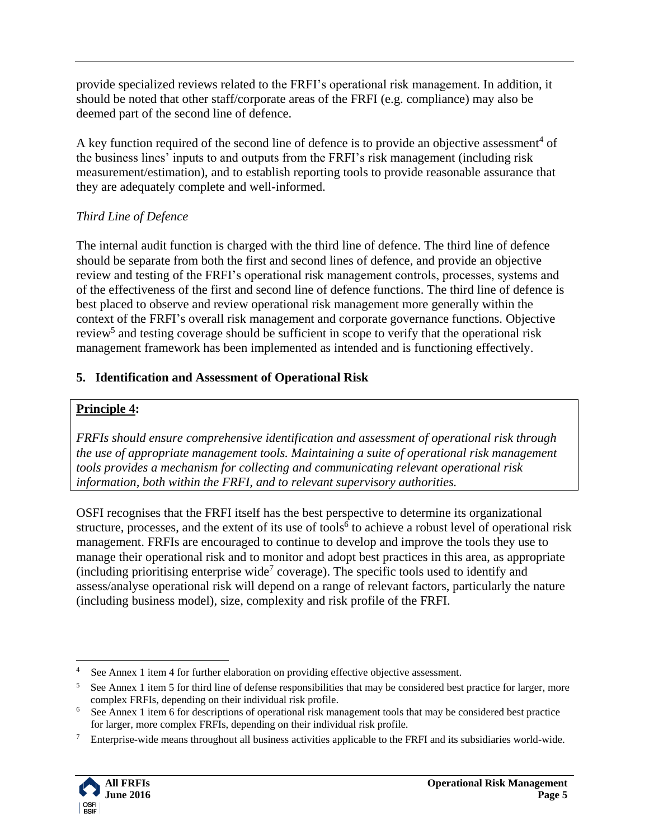provide specialized reviews related to the FRFI's operational risk management. In addition, it should be noted that other staff/corporate areas of the FRFI (e.g. compliance) may also be deemed part of the second line of defence.

A key function required of the second line of defence is to provide an objective assessment<sup>4</sup> of the business lines' inputs to and outputs from the FRFI's risk management (including risk measurement/estimation), and to establish reporting tools to provide reasonable assurance that they are adequately complete and well-informed.

# *Third Line of Defence*

The internal audit function is charged with the third line of defence. The third line of defence should be separate from both the first and second lines of defence, and provide an objective review and testing of the FRFI's operational risk management controls, processes, systems and of the effectiveness of the first and second line of defence functions. The third line of defence is best placed to observe and review operational risk management more generally within the context of the FRFI's overall risk management and corporate governance functions. Objective review<sup>5</sup> and testing coverage should be sufficient in scope to verify that the operational risk management framework has been implemented as intended and is functioning effectively.

# <span id="page-4-0"></span>**5. Identification and Assessment of Operational Risk**

# **Principle 4:**

*FRFIs should ensure comprehensive identification and assessment of operational risk through the use of appropriate management tools. Maintaining a suite of operational risk management tools provides a mechanism for collecting and communicating relevant operational risk information, both within the FRFI, and to relevant supervisory authorities.*

OSFI recognises that the FRFI itself has the best perspective to determine its organizational structure, processes, and the extent of its use of tools<sup>6</sup> to achieve a robust level of operational risk management. FRFIs are encouraged to continue to develop and improve the tools they use to manage their operational risk and to monitor and adopt best practices in this area, as appropriate (including prioritising enterprise wide<sup>7</sup> coverage). The specific tools used to identify and assess/analyse operational risk will depend on a range of relevant factors, particularly the nature (including business model), size, complexity and risk profile of the FRFI.

<sup>7</sup> Enterprise-wide means throughout all business activities applicable to the FRFI and its subsidiaries world-wide.



 $\overline{a}$ <sup>4</sup> See Annex 1 item 4 for further elaboration on providing effective objective assessment.

<sup>&</sup>lt;sup>5</sup> See Annex 1 item 5 for third line of defense responsibilities that may be considered best practice for larger, more complex FRFIs, depending on their individual risk profile.

<sup>&</sup>lt;sup>6</sup> See Annex 1 item 6 for descriptions of operational risk management tools that may be considered best practice for larger, more complex FRFIs, depending on their individual risk profile.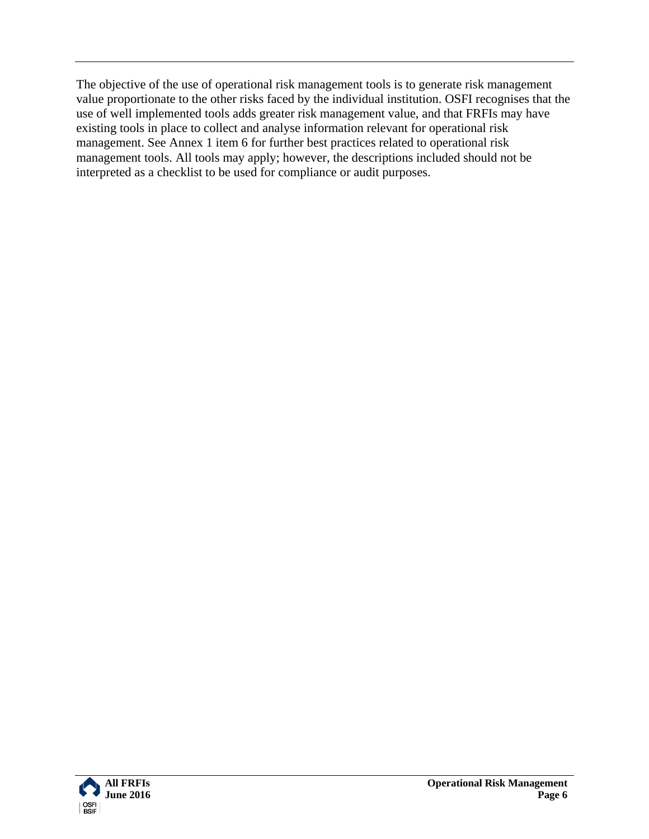The objective of the use of operational risk management tools is to generate risk management value proportionate to the other risks faced by the individual institution. OSFI recognises that the use of well implemented tools adds greater risk management value, and that FRFIs may have existing tools in place to collect and analyse information relevant for operational risk management. See Annex 1 item 6 for further best practices related to operational risk management tools. All tools may apply; however, the descriptions included should not be interpreted as a checklist to be used for compliance or audit purposes.

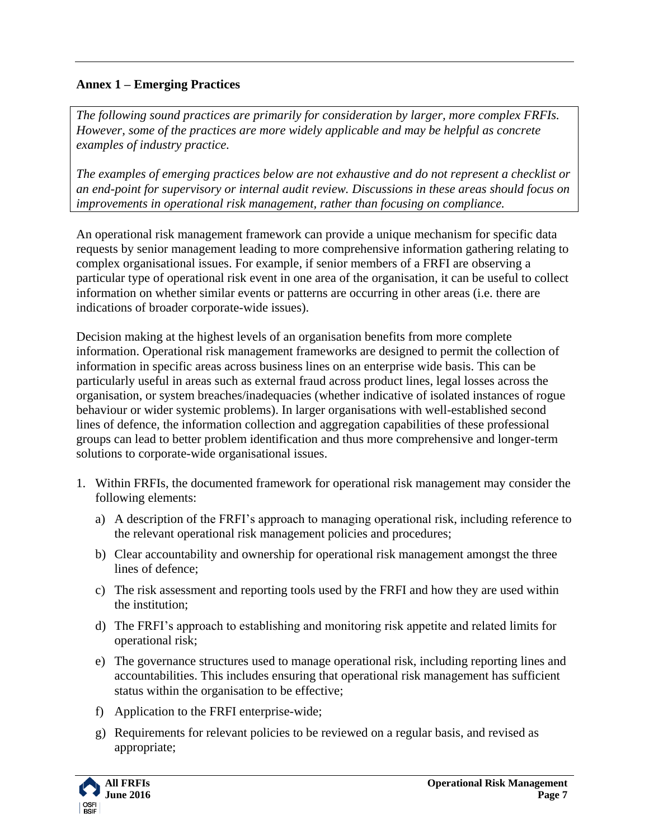## **Annex 1 – Emerging Practices**

*The following sound practices are primarily for consideration by larger, more complex FRFIs. However, some of the practices are more widely applicable and may be helpful as concrete examples of industry practice.* 

*The examples of emerging practices below are not exhaustive and do not represent a checklist or an end-point for supervisory or internal audit review. Discussions in these areas should focus on improvements in operational risk management, rather than focusing on compliance.* 

An operational risk management framework can provide a unique mechanism for specific data requests by senior management leading to more comprehensive information gathering relating to complex organisational issues. For example, if senior members of a FRFI are observing a particular type of operational risk event in one area of the organisation, it can be useful to collect information on whether similar events or patterns are occurring in other areas (i.e. there are indications of broader corporate-wide issues).

Decision making at the highest levels of an organisation benefits from more complete information. Operational risk management frameworks are designed to permit the collection of information in specific areas across business lines on an enterprise wide basis. This can be particularly useful in areas such as external fraud across product lines, legal losses across the organisation, or system breaches/inadequacies (whether indicative of isolated instances of rogue behaviour or wider systemic problems). In larger organisations with well-established second lines of defence, the information collection and aggregation capabilities of these professional groups can lead to better problem identification and thus more comprehensive and longer-term solutions to corporate-wide organisational issues.

- 1. Within FRFIs, the documented framework for operational risk management may consider the following elements:
	- a) A description of the FRFI's approach to managing operational risk, including reference to the relevant operational risk management policies and procedures;
	- b) Clear accountability and ownership for operational risk management amongst the three lines of defence;
	- c) The risk assessment and reporting tools used by the FRFI and how they are used within the institution;
	- d) The FRFI's approach to establishing and monitoring risk appetite and related limits for operational risk;
	- e) The governance structures used to manage operational risk, including reporting lines and accountabilities. This includes ensuring that operational risk management has sufficient status within the organisation to be effective;
	- f) Application to the FRFI enterprise-wide;
	- g) Requirements for relevant policies to be reviewed on a regular basis, and revised as appropriate;

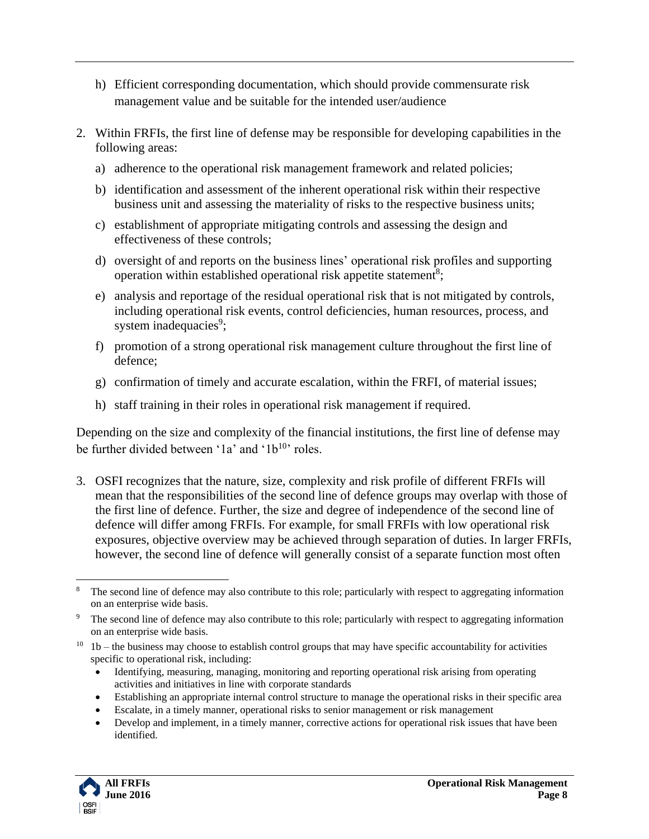- h) Efficient corresponding documentation, which should provide commensurate risk management value and be suitable for the intended user/audience
- 2. Within FRFIs, the first line of defense may be responsible for developing capabilities in the following areas:
	- a) adherence to the operational risk management framework and related policies;
	- b) identification and assessment of the inherent operational risk within their respective business unit and assessing the materiality of risks to the respective business units;
	- c) establishment of appropriate mitigating controls and assessing the design and effectiveness of these controls;
	- d) oversight of and reports on the business lines' operational risk profiles and supporting operation within established operational risk appetite statement<sup>8</sup>;
	- e) analysis and reportage of the residual operational risk that is not mitigated by controls, including operational risk events, control deficiencies, human resources, process, and system inadequacies<sup>9</sup>;
	- f) promotion of a strong operational risk management culture throughout the first line of defence;
	- g) confirmation of timely and accurate escalation, within the FRFI, of material issues;
	- h) staff training in their roles in operational risk management if required.

Depending on the size and complexity of the financial institutions, the first line of defense may be further divided between '1a' and ' $1b^{10}$ ' roles.

3. OSFI recognizes that the nature, size, complexity and risk profile of different FRFIs will mean that the responsibilities of the second line of defence groups may overlap with those of the first line of defence. Further, the size and degree of independence of the second line of defence will differ among FRFIs. For example, for small FRFIs with low operational risk exposures, objective overview may be achieved through separation of duties. In larger FRFIs, however, the second line of defence will generally consist of a separate function most often

- Identifying, measuring, managing, monitoring and reporting operational risk arising from operating activities and initiatives in line with corporate standards
- Establishing an appropriate internal control structure to manage the operational risks in their specific area
- Escalate, in a timely manner, operational risks to senior management or risk management
- Develop and implement, in a timely manner, corrective actions for operational risk issues that have been identified.



 $\overline{a}$ <sup>8</sup> The second line of defence may also contribute to this role; particularly with respect to aggregating information on an enterprise wide basis.

The second line of defence may also contribute to this role; particularly with respect to aggregating information on an enterprise wide basis.

 $10$  – the business may choose to establish control groups that may have specific accountability for activities specific to operational risk, including: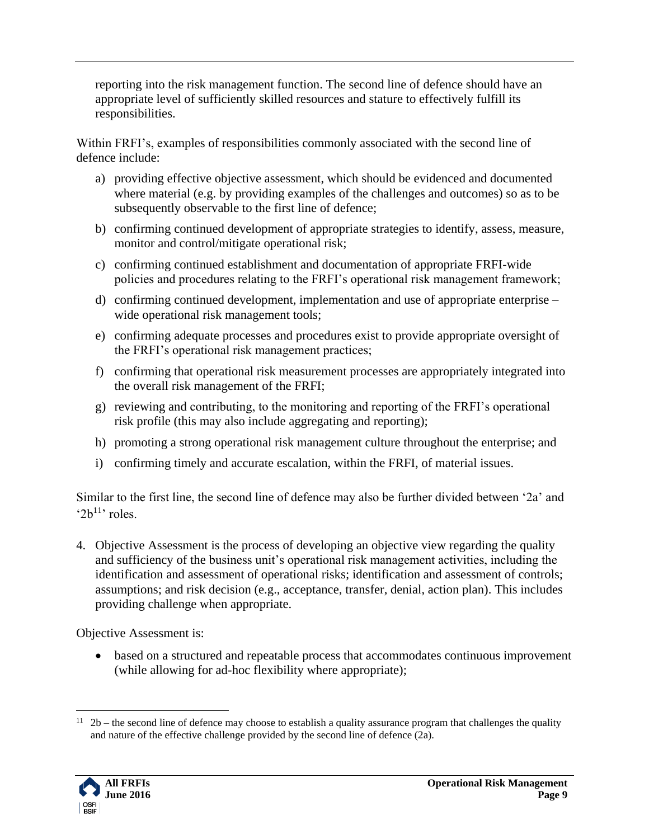reporting into the risk management function. The second line of defence should have an appropriate level of sufficiently skilled resources and stature to effectively fulfill its responsibilities.

Within FRFI's, examples of responsibilities commonly associated with the second line of defence include:

- a) providing effective objective assessment, which should be evidenced and documented where material (e.g. by providing examples of the challenges and outcomes) so as to be subsequently observable to the first line of defence;
- b) confirming continued development of appropriate strategies to identify, assess, measure, monitor and control/mitigate operational risk;
- c) confirming continued establishment and documentation of appropriate FRFI-wide policies and procedures relating to the FRFI's operational risk management framework;
- d) confirming continued development, implementation and use of appropriate enterprise wide operational risk management tools;
- e) confirming adequate processes and procedures exist to provide appropriate oversight of the FRFI's operational risk management practices;
- f) confirming that operational risk measurement processes are appropriately integrated into the overall risk management of the FRFI;
- g) reviewing and contributing, to the monitoring and reporting of the FRFI's operational risk profile (this may also include aggregating and reporting);
- h) promoting a strong operational risk management culture throughout the enterprise; and
- i) confirming timely and accurate escalation, within the FRFI, of material issues.

Similar to the first line, the second line of defence may also be further divided between '2a' and ' $2b^{11}$ ' roles.

4. Objective Assessment is the process of developing an objective view regarding the quality and sufficiency of the business unit's operational risk management activities, including the identification and assessment of operational risks; identification and assessment of controls; assumptions; and risk decision (e.g., acceptance, transfer, denial, action plan). This includes providing challenge when appropriate.

Objective Assessment is:

 based on a structured and repeatable process that accommodates continuous improvement (while allowing for ad-hoc flexibility where appropriate);

 $\overline{a}$  $11$  2b – the second line of defence may choose to establish a quality assurance program that challenges the quality and nature of the effective challenge provided by the second line of defence (2a).

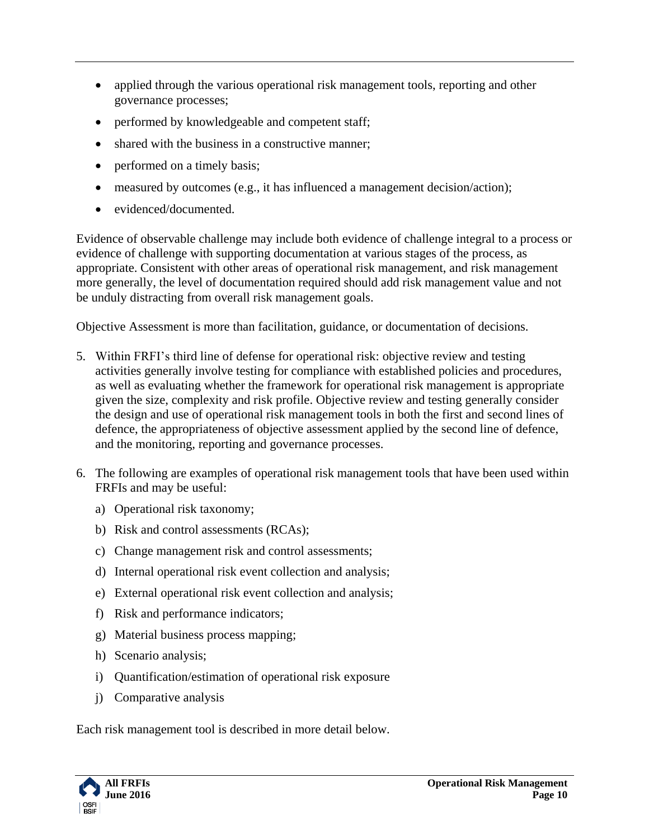- applied through the various operational risk management tools, reporting and other governance processes;
- performed by knowledgeable and competent staff;
- shared with the business in a constructive manner;
- performed on a timely basis;
- measured by outcomes (e.g., it has influenced a management decision/action);
- evidenced/documented.

Evidence of observable challenge may include both evidence of challenge integral to a process or evidence of challenge with supporting documentation at various stages of the process, as appropriate. Consistent with other areas of operational risk management, and risk management more generally, the level of documentation required should add risk management value and not be unduly distracting from overall risk management goals.

Objective Assessment is more than facilitation, guidance, or documentation of decisions.

- 5. Within FRFI's third line of defense for operational risk: objective review and testing activities generally involve testing for compliance with established policies and procedures, as well as evaluating whether the framework for operational risk management is appropriate given the size, complexity and risk profile. Objective review and testing generally consider the design and use of operational risk management tools in both the first and second lines of defence, the appropriateness of objective assessment applied by the second line of defence, and the monitoring, reporting and governance processes.
- 6. The following are examples of operational risk management tools that have been used within FRFIs and may be useful:
	- a) Operational risk taxonomy;
	- b) Risk and control assessments (RCAs);
	- c) Change management risk and control assessments;
	- d) Internal operational risk event collection and analysis;
	- e) External operational risk event collection and analysis;
	- f) Risk and performance indicators;
	- g) Material business process mapping;
	- h) Scenario analysis;
	- i) Quantification/estimation of operational risk exposure
	- j) Comparative analysis

Each risk management tool is described in more detail below.

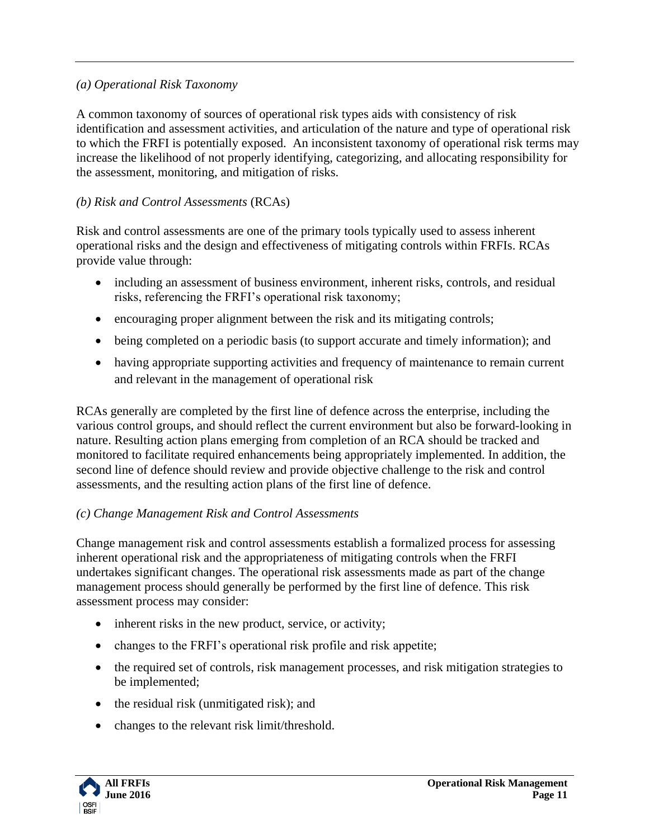## *(a) Operational Risk Taxonomy*

A common taxonomy of sources of operational risk types aids with consistency of risk identification and assessment activities, and articulation of the nature and type of operational risk to which the FRFI is potentially exposed. An inconsistent taxonomy of operational risk terms may increase the likelihood of not properly identifying, categorizing, and allocating responsibility for the assessment, monitoring, and mitigation of risks.

## *(b) Risk and Control Assessments* (RCAs)

Risk and control assessments are one of the primary tools typically used to assess inherent operational risks and the design and effectiveness of mitigating controls within FRFIs. RCAs provide value through:

- including an assessment of business environment, inherent risks, controls, and residual risks, referencing the FRFI's operational risk taxonomy;
- encouraging proper alignment between the risk and its mitigating controls;
- being completed on a periodic basis (to support accurate and timely information); and
- having appropriate supporting activities and frequency of maintenance to remain current and relevant in the management of operational risk

RCAs generally are completed by the first line of defence across the enterprise, including the various control groups, and should reflect the current environment but also be forward-looking in nature. Resulting action plans emerging from completion of an RCA should be tracked and monitored to facilitate required enhancements being appropriately implemented. In addition, the second line of defence should review and provide objective challenge to the risk and control assessments, and the resulting action plans of the first line of defence.

## *(c) Change Management Risk and Control Assessments*

Change management risk and control assessments establish a formalized process for assessing inherent operational risk and the appropriateness of mitigating controls when the FRFI undertakes significant changes. The operational risk assessments made as part of the change management process should generally be performed by the first line of defence. This risk assessment process may consider:

- inherent risks in the new product, service, or activity;
- changes to the FRFI's operational risk profile and risk appetite;
- the required set of controls, risk management processes, and risk mitigation strategies to be implemented;
- the residual risk (unmitigated risk); and
- changes to the relevant risk limit/threshold.

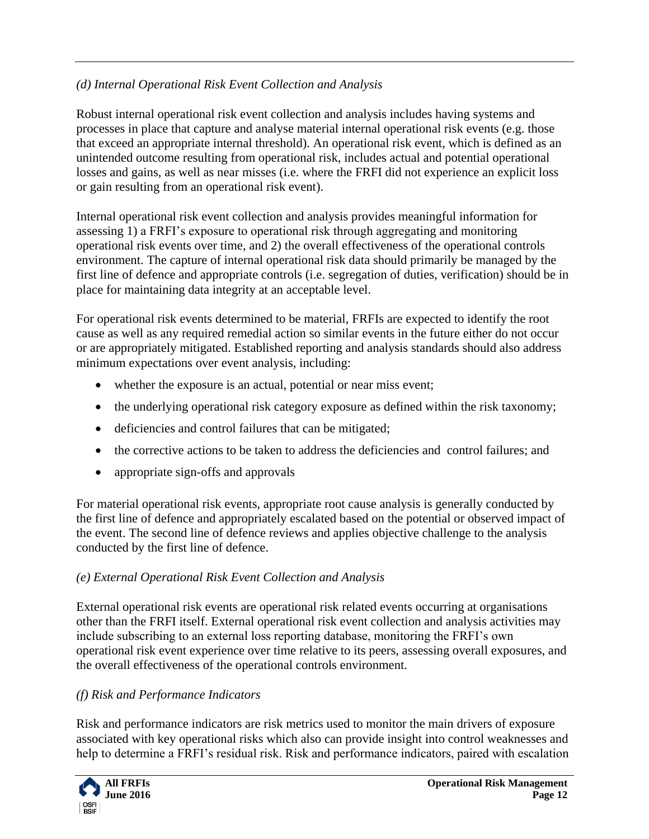# *(d) Internal Operational Risk Event Collection and Analysis*

Robust internal operational risk event collection and analysis includes having systems and processes in place that capture and analyse material internal operational risk events (e.g. those that exceed an appropriate internal threshold). An operational risk event, which is defined as an unintended outcome resulting from operational risk, includes actual and potential operational losses and gains, as well as near misses (i.e. where the FRFI did not experience an explicit loss or gain resulting from an operational risk event).

Internal operational risk event collection and analysis provides meaningful information for assessing 1) a FRFI's exposure to operational risk through aggregating and monitoring operational risk events over time, and 2) the overall effectiveness of the operational controls environment. The capture of internal operational risk data should primarily be managed by the first line of defence and appropriate controls (i.e. segregation of duties, verification) should be in place for maintaining data integrity at an acceptable level.

For operational risk events determined to be material, FRFIs are expected to identify the root cause as well as any required remedial action so similar events in the future either do not occur or are appropriately mitigated. Established reporting and analysis standards should also address minimum expectations over event analysis, including:

- whether the exposure is an actual, potential or near miss event;
- the underlying operational risk category exposure as defined within the risk taxonomy;
- deficiencies and control failures that can be mitigated;
- the corrective actions to be taken to address the deficiencies and control failures; and
- appropriate sign-offs and approvals

For material operational risk events, appropriate root cause analysis is generally conducted by the first line of defence and appropriately escalated based on the potential or observed impact of the event. The second line of defence reviews and applies objective challenge to the analysis conducted by the first line of defence.

# *(e) External Operational Risk Event Collection and Analysis*

External operational risk events are operational risk related events occurring at organisations other than the FRFI itself. External operational risk event collection and analysis activities may include subscribing to an external loss reporting database, monitoring the FRFI's own operational risk event experience over time relative to its peers, assessing overall exposures, and the overall effectiveness of the operational controls environment.

# *(f) Risk and Performance Indicators*

Risk and performance indicators are risk metrics used to monitor the main drivers of exposure associated with key operational risks which also can provide insight into control weaknesses and help to determine a FRFI's residual risk. Risk and performance indicators, paired with escalation

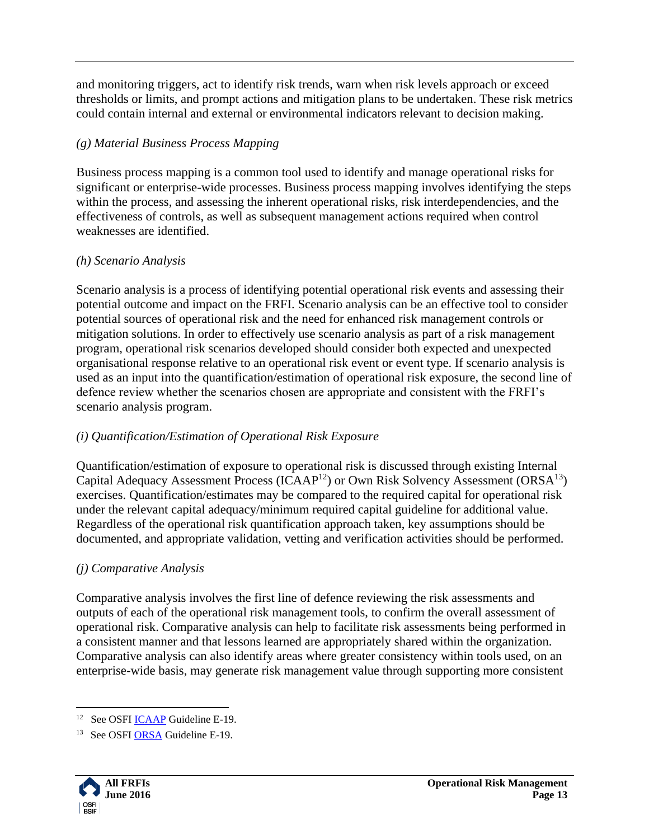and monitoring triggers, act to identify risk trends, warn when risk levels approach or exceed thresholds or limits, and prompt actions and mitigation plans to be undertaken. These risk metrics could contain internal and external or environmental indicators relevant to decision making.

# *(g) Material Business Process Mapping*

Business process mapping is a common tool used to identify and manage operational risks for significant or enterprise-wide processes. Business process mapping involves identifying the steps within the process, and assessing the inherent operational risks, risk interdependencies, and the effectiveness of controls, as well as subsequent management actions required when control weaknesses are identified.

# *(h) Scenario Analysis*

Scenario analysis is a process of identifying potential operational risk events and assessing their potential outcome and impact on the FRFI. Scenario analysis can be an effective tool to consider potential sources of operational risk and the need for enhanced risk management controls or mitigation solutions. In order to effectively use scenario analysis as part of a risk management program, operational risk scenarios developed should consider both expected and unexpected organisational response relative to an operational risk event or event type. If scenario analysis is used as an input into the quantification/estimation of operational risk exposure, the second line of defence review whether the scenarios chosen are appropriate and consistent with the FRFI's scenario analysis program.

# *(i) Quantification/Estimation of Operational Risk Exposure*

Quantification/estimation of exposure to operational risk is discussed through existing Internal Capital Adequacy Assessment Process (ICAAP<sup>12</sup>) or Own Risk Solvency Assessment (ORSA<sup>13</sup>) exercises. Quantification/estimates may be compared to the required capital for operational risk under the relevant capital adequacy/minimum required capital guideline for additional value. Regardless of the operational risk quantification approach taken, key assumptions should be documented, and appropriate validation, vetting and verification activities should be performed.

# *(j) Comparative Analysis*

Comparative analysis involves the first line of defence reviewing the risk assessments and outputs of each of the operational risk management tools, to confirm the overall assessment of operational risk. Comparative analysis can help to facilitate risk assessments being performed in a consistent manner and that lessons learned are appropriately shared within the organization. Comparative analysis can also identify areas where greater consistency within tools used, on an enterprise-wide basis, may generate risk management value through supporting more consistent

<sup>&</sup>lt;sup>13</sup> See OSF[I ORSA](http://www.osfi-bsif.gc.ca/Eng/fi-if/rg-ro/gdn-ort/gl-ld/Pages/e1918.aspx) Guideline E-19.



 $\overline{a}$ <sup>12</sup> See OSFI **ICAAP** Guideline E-19.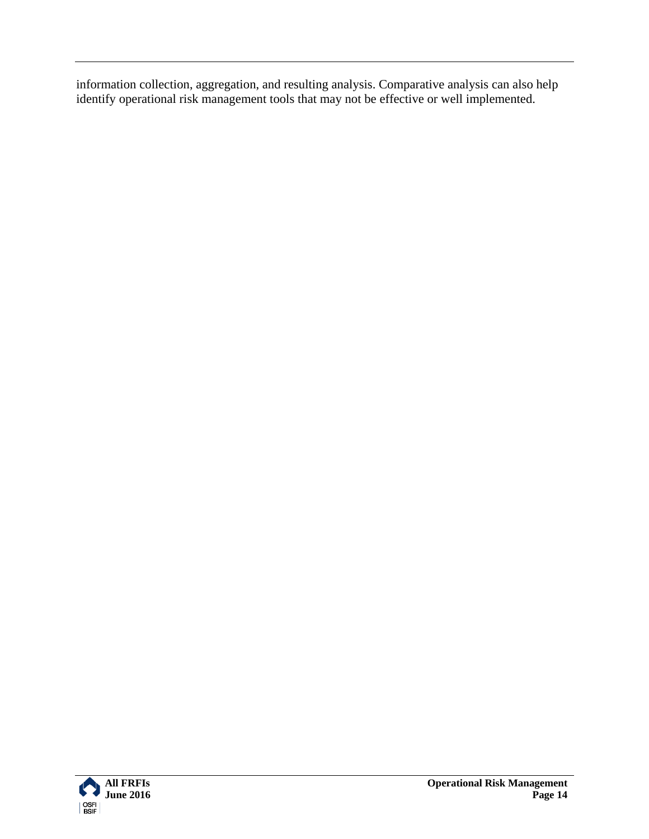information collection, aggregation, and resulting analysis. Comparative analysis can also help identify operational risk management tools that may not be effective or well implemented.